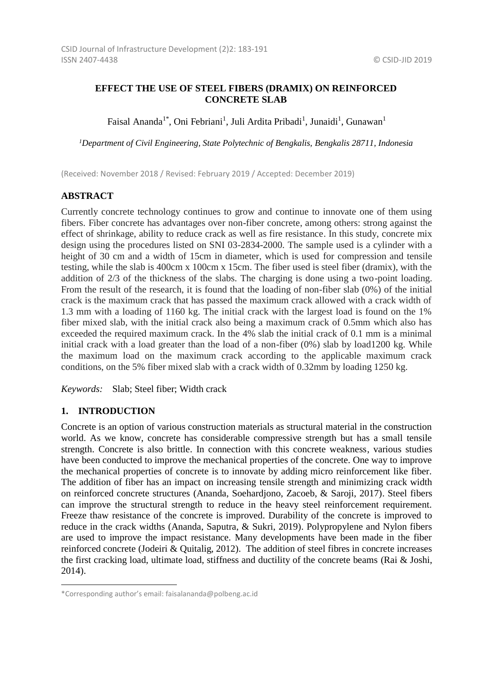## **EFFECT THE USE OF STEEL FIBERS (DRAMIX) ON REINFORCED CONCRETE SLAB**

Faisal Ananda<sup>1\*</sup>, Oni Febriani<sup>1</sup>, Juli Ardita Pribadi<sup>1</sup>, Junaidi<sup>1</sup>, Gunawan<sup>1</sup>

*<sup>1</sup>Department of Civil Engineering, State Polytechnic of Bengkalis, Bengkalis 28711, Indonesia*

(Received: November 2018 / Revised: February 2019 / Accepted: December 2019)

## **ABSTRACT**

Currently concrete technology continues to grow and continue to innovate one of them using fibers. Fiber concrete has advantages over non-fiber concrete, among others: strong against the effect of shrinkage, ability to reduce crack as well as fire resistance. In this study, concrete mix design using the procedures listed on SNI 03-2834-2000. The sample used is a cylinder with a height of 30 cm and a width of 15cm in diameter, which is used for compression and tensile testing, while the slab is 400cm x 100cm x 15cm. The fiber used is steel fiber (dramix), with the addition of 2/3 of the thickness of the slabs. The charging is done using a two-point loading. From the result of the research, it is found that the loading of non-fiber slab (0%) of the initial crack is the maximum crack that has passed the maximum crack allowed with a crack width of 1.3 mm with a loading of 1160 kg. The initial crack with the largest load is found on the 1% fiber mixed slab, with the initial crack also being a maximum crack of 0.5mm which also has exceeded the required maximum crack. In the 4% slab the initial crack of 0.1 mm is a minimal initial crack with a load greater than the load of a non-fiber (0%) slab by load1200 kg. While the maximum load on the maximum crack according to the applicable maximum crack conditions, on the 5% fiber mixed slab with a crack width of 0.32mm by loading 1250 kg.

*Keywords:* Slab; Steel fiber; Width crack

### **1. INTRODUCTION**

l

Concrete is an option of various construction materials as structural material in the construction world. As we know, concrete has considerable compressive strength but has a small tensile strength. Concrete is also brittle. In connection with this concrete weakness, various studies have been conducted to improve the mechanical properties of the concrete. One way to improve the mechanical properties of concrete is to innovate by adding micro reinforcement like fiber. The addition of fiber has an impact on increasing tensile strength and minimizing crack width on reinforced concrete structures (Ananda, Soehardjono, Zacoeb, & Saroji, 2017). Steel fibers can improve the structural strength to reduce in the heavy steel reinforcement requirement. Freeze thaw resistance of the concrete is improved. Durability of the concrete is improved to reduce in the crack widths (Ananda, Saputra, & Sukri, 2019). Polypropylene and Nylon fibers are used to improve the impact resistance. Many developments have been made in the fiber reinforced concrete (Jodeiri & Quitalig, 2012). The addition of steel fibres in concrete increases the first cracking load, ultimate load, stiffness and ductility of the concrete beams (Rai & Joshi, 2014).

<sup>\*</sup>Corresponding author's email: faisalananda@polbeng.ac.id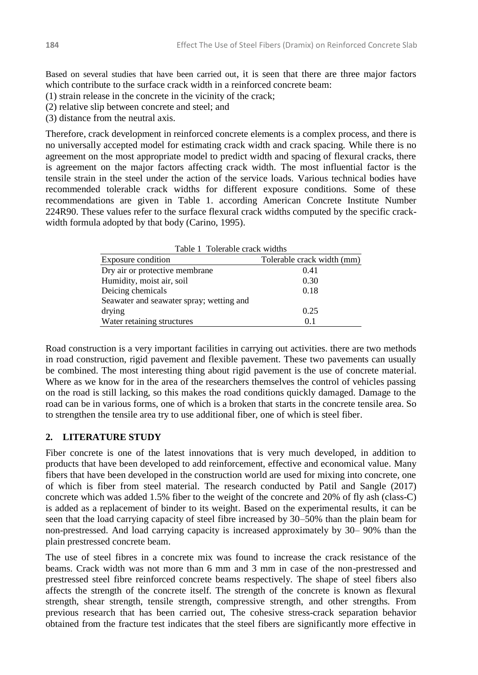Based on several studies that have been carried out, it is seen that there are three major factors which contribute to the surface crack width in a reinforced concrete beam:

(1) strain release in the concrete in the vicinity of the crack;

(2) relative slip between concrete and steel; and

(3) distance from the neutral axis.

Therefore, crack development in reinforced concrete elements is a complex process, and there is no universally accepted model for estimating crack width and crack spacing. While there is no agreement on the most appropriate model to predict width and spacing of flexural cracks, there is agreement on the major factors affecting crack width. The most influential factor is the tensile strain in the steel under the action of the service loads. Various technical bodies have recommended tolerable crack widths for different exposure conditions. Some of these recommendations are given in Table 1. according American Concrete Institute Number 224R90. These values refer to the surface flexural crack widths computed by the specific crackwidth formula adopted by that body (Carino, 1995).

| Table 1 Tolerable crack widths           |                            |
|------------------------------------------|----------------------------|
| <b>Exposure condition</b>                | Tolerable crack width (mm) |
| Dry air or protective membrane           | 0.41                       |
| Humidity, moist air, soil                | 0.30                       |
| Deicing chemicals                        | 0.18                       |
| Seawater and seawater spray; wetting and |                            |
| drying                                   | 0.25                       |
| Water retaining structures               | 0.1                        |

Road construction is a very important facilities in carrying out activities. there are two methods in road construction, rigid pavement and flexible pavement. These two pavements can usually be combined. The most interesting thing about rigid pavement is the use of concrete material. Where as we know for in the area of the researchers themselves the control of vehicles passing on the road is still lacking, so this makes the road conditions quickly damaged. Damage to the road can be in various forms, one of which is a broken that starts in the concrete tensile area. So to strengthen the tensile area try to use additional fiber, one of which is steel fiber.

## **2. LITERATURE STUDY**

Fiber concrete is one of the latest innovations that is very much developed, in addition to products that have been developed to add reinforcement, effective and economical value. Many fibers that have been developed in the construction world are used for mixing into concrete, one of which is fiber from steel material. The research conducted by Patil and Sangle (2017) concrete which was added 1.5% fiber to the weight of the concrete and 20% of fly ash (class-C) is added as a replacement of binder to its weight. Based on the experimental results, it can be seen that the load carrying capacity of steel fibre increased by 30–50% than the plain beam for non-prestressed. And load carrying capacity is increased approximately by 30– 90% than the plain prestressed concrete beam.

The use of steel fibres in a concrete mix was found to increase the crack resistance of the beams. Crack width was not more than 6 mm and 3 mm in case of the non-prestressed and prestressed steel fibre reinforced concrete beams respectively. The shape of steel fibers also affects the strength of the concrete itself. The strength of the concrete is known as flexural strength, shear strength, tensile strength, compressive strength, and other strengths. From previous research that has been carried out, The cohesive stress-crack separation behavior obtained from the fracture test indicates that the steel fibers are significantly more effective in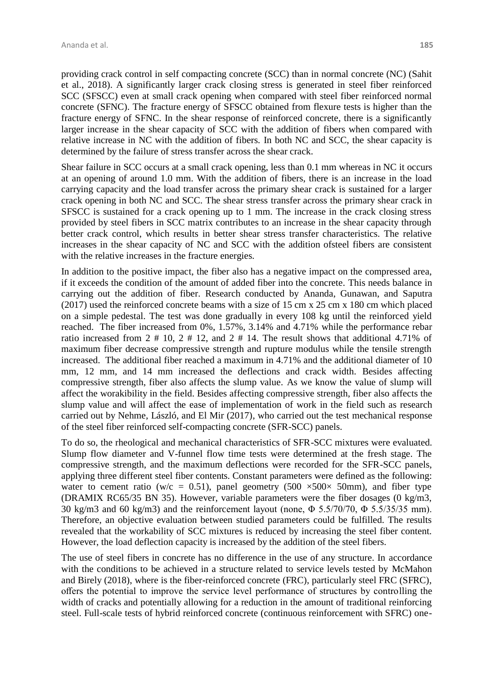providing crack control in self compacting concrete (SCC) than in normal concrete (NC) (Sahit et al., 2018). A significantly larger crack closing stress is generated in steel fiber reinforced SCC (SFSCC) even at small crack opening when compared with steel fiber reinforced normal concrete (SFNC). The fracture energy of SFSCC obtained from flexure tests is higher than the fracture energy of SFNC. In the shear response of reinforced concrete, there is a significantly larger increase in the shear capacity of SCC with the addition of fibers when compared with relative increase in NC with the addition of fibers. In both NC and SCC, the shear capacity is determined by the failure of stress transfer across the shear crack.

Shear failure in SCC occurs at a small crack opening, less than 0.1 mm whereas in NC it occurs at an opening of around 1.0 mm. With the addition of fibers, there is an increase in the load carrying capacity and the load transfer across the primary shear crack is sustained for a larger crack opening in both NC and SCC. The shear stress transfer across the primary shear crack in SFSCC is sustained for a crack opening up to 1 mm. The increase in the crack closing stress provided by steel fibers in SCC matrix contributes to an increase in the shear capacity through better crack control, which results in better shear stress transfer characteristics. The relative increases in the shear capacity of NC and SCC with the addition ofsteel fibers are consistent with the relative increases in the fracture energies.

In addition to the positive impact, the fiber also has a negative impact on the compressed area, if it exceeds the condition of the amount of added fiber into the concrete. This needs balance in carrying out the addition of fiber. Research conducted by Ananda, Gunawan, and Saputra (2017) used the reinforced concrete beams with a size of 15 cm x 25 cm x 180 cm which placed on a simple pedestal. The test was done gradually in every 108 kg until the reinforced yield reached. The fiber increased from 0%, 1.57%, 3.14% and 4.71% while the performance rebar ratio increased from  $2 \# 10$ ,  $2 \# 12$ , and  $2 \# 14$ . The result shows that additional 4.71% of maximum fiber decrease compressive strength and rupture modulus while the tensile strength increased. The additional fiber reached a maximum in 4.71% and the additional diameter of 10 mm, 12 mm, and 14 mm increased the deflections and crack width. Besides affecting compressive strength, fiber also affects the slump value. As we know the value of slump will affect the worakibility in the field. Besides affecting compressive strength, fiber also affects the slump value and will affect the ease of implementation of work in the field such as research carried out by Nehme, László, and El Mir (2017), who carried out the test mechanical response of the steel fiber reinforced self-compacting concrete (SFR-SCC) panels.

To do so, the rheological and mechanical characteristics of SFR-SCC mixtures were evaluated. Slump flow diameter and V-funnel flow time tests were determined at the fresh stage. The compressive strength, and the maximum deflections were recorded for the SFR-SCC panels, applying three different steel fiber contents. Constant parameters were defined as the following: water to cement ratio (w/c = 0.51), panel geometry (500  $\times$ 500 $\times$  50mm), and fiber type (DRAMIX RC65/35 BN 35). However, variable parameters were the fiber dosages (0 kg/m3, 30 kg/m3 and 60 kg/m3) and the reinforcement layout (none, Φ 5.5/70/70, Φ 5.5/35/35 mm). Therefore, an objective evaluation between studied parameters could be fulfilled. The results revealed that the workability of SCC mixtures is reduced by increasing the steel fiber content. However, the load deflection capacity is increased by the addition of the steel fibers.

The use of steel fibers in concrete has no difference in the use of any structure. In accordance with the conditions to be achieved in a structure related to service levels tested by McMahon and Birely (2018), where is the fiber-reinforced concrete (FRC), particularly steel FRC (SFRC), offers the potential to improve the service level performance of structures by controlling the width of cracks and potentially allowing for a reduction in the amount of traditional reinforcing steel. Full-scale tests of hybrid reinforced concrete (continuous reinforcement with SFRC) one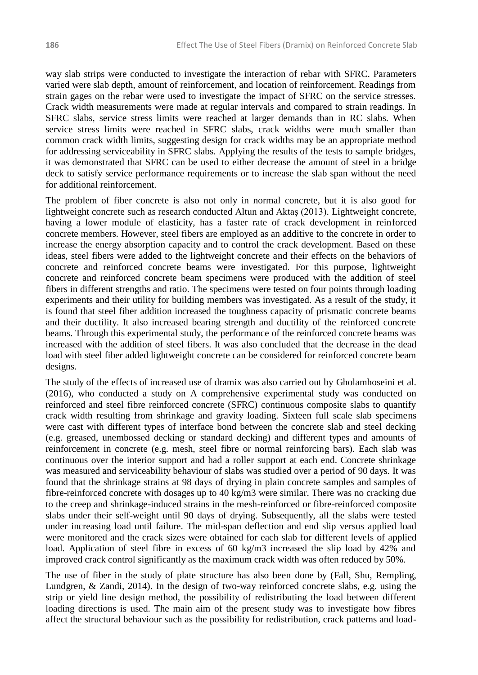way slab strips were conducted to investigate the interaction of rebar with SFRC. Parameters varied were slab depth, amount of reinforcement, and location of reinforcement. Readings from strain gages on the rebar were used to investigate the impact of SFRC on the service stresses. Crack width measurements were made at regular intervals and compared to strain readings. In SFRC slabs, service stress limits were reached at larger demands than in RC slabs. When service stress limits were reached in SFRC slabs, crack widths were much smaller than common crack width limits, suggesting design for crack widths may be an appropriate method for addressing serviceability in SFRC slabs. Applying the results of the tests to sample bridges, it was demonstrated that SFRC can be used to either decrease the amount of steel in a bridge deck to satisfy service performance requirements or to increase the slab span without the need for additional reinforcement.

The problem of fiber concrete is also not only in normal concrete, but it is also good for lightweight concrete such as research conducted Altun and Aktaş (2013). Lightweight concrete, having a lower module of elasticity, has a faster rate of crack development in reinforced concrete members. However, steel fibers are employed as an additive to the concrete in order to increase the energy absorption capacity and to control the crack development. Based on these ideas, steel fibers were added to the lightweight concrete and their effects on the behaviors of concrete and reinforced concrete beams were investigated. For this purpose, lightweight concrete and reinforced concrete beam specimens were produced with the addition of steel fibers in different strengths and ratio. The specimens were tested on four points through loading experiments and their utility for building members was investigated. As a result of the study, it is found that steel fiber addition increased the toughness capacity of prismatic concrete beams and their ductility. It also increased bearing strength and ductility of the reinforced concrete beams. Through this experimental study, the performance of the reinforced concrete beams was increased with the addition of steel fibers. It was also concluded that the decrease in the dead load with steel fiber added lightweight concrete can be considered for reinforced concrete beam designs.

The study of the effects of increased use of dramix was also carried out by Gholamhoseini et al. (2016), who conducted a study on A comprehensive experimental study was conducted on reinforced and steel fibre reinforced concrete (SFRC) continuous composite slabs to quantify crack width resulting from shrinkage and gravity loading. Sixteen full scale slab specimens were cast with different types of interface bond between the concrete slab and steel decking (e.g. greased, unembossed decking or standard decking) and different types and amounts of reinforcement in concrete (e.g. mesh, steel fibre or normal reinforcing bars). Each slab was continuous over the interior support and had a roller support at each end. Concrete shrinkage was measured and serviceability behaviour of slabs was studied over a period of 90 days. It was found that the shrinkage strains at 98 days of drying in plain concrete samples and samples of fibre-reinforced concrete with dosages up to 40 kg/m3 were similar. There was no cracking due to the creep and shrinkage-induced strains in the mesh-reinforced or fibre-reinforced composite slabs under their self-weight until 90 days of drying. Subsequently, all the slabs were tested under increasing load until failure. The mid-span deflection and end slip versus applied load were monitored and the crack sizes were obtained for each slab for different levels of applied load. Application of steel fibre in excess of 60 kg/m3 increased the slip load by 42% and improved crack control significantly as the maximum crack width was often reduced by 50%.

The use of fiber in the study of plate structure has also been done by (Fall, Shu, Rempling, Lundgren, & Zandi, 2014). In the design of two-way reinforced concrete slabs, e.g. using the strip or yield line design method, the possibility of redistributing the load between different loading directions is used. The main aim of the present study was to investigate how fibres affect the structural behaviour such as the possibility for redistribution, crack patterns and load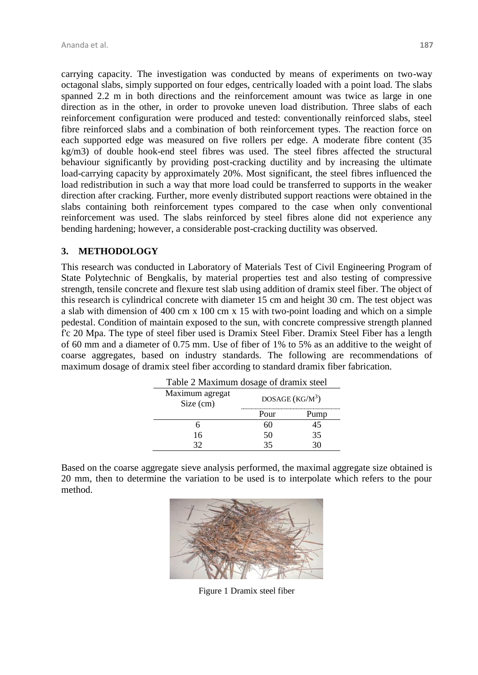carrying capacity. The investigation was conducted by means of experiments on two-way octagonal slabs, simply supported on four edges, centrically loaded with a point load. The slabs spanned 2.2 m in both directions and the reinforcement amount was twice as large in one direction as in the other, in order to provoke uneven load distribution. Three slabs of each reinforcement configuration were produced and tested: conventionally reinforced slabs, steel fibre reinforced slabs and a combination of both reinforcement types. The reaction force on each supported edge was measured on five rollers per edge. A moderate fibre content (35 kg/m3) of double hook-end steel fibres was used. The steel fibres affected the structural behaviour significantly by providing post-cracking ductility and by increasing the ultimate load-carrying capacity by approximately 20%. Most significant, the steel fibres influenced the load redistribution in such a way that more load could be transferred to supports in the weaker direction after cracking. Further, more evenly distributed support reactions were obtained in the slabs containing both reinforcement types compared to the case when only conventional reinforcement was used. The slabs reinforced by steel fibres alone did not experience any bending hardening; however, a considerable post-cracking ductility was observed.

# **3. METHODOLOGY**

This research was conducted in Laboratory of Materials Test of Civil Engineering Program of State Polytechnic of Bengkalis, by material properties test and also testing of compressive strength, tensile concrete and flexure test slab using addition of dramix steel fiber. The object of this research is cylindrical concrete with diameter 15 cm and height 30 cm. The test object was a slab with dimension of 400 cm x 100 cm x 15 with two-point loading and which on a simple pedestal. Condition of maintain exposed to the sun, with concrete compressive strength planned f'c 20 Mpa. The type of steel fiber used is Dramix Steel Fiber. Dramix Steel Fiber has a length of 60 mm and a diameter of 0.75 mm. Use of fiber of 1% to 5% as an additive to the weight of coarse aggregates, based on industry standards. The following are recommendations of maximum dosage of dramix steel fiber according to standard dramix fiber fabrication.

| Table 2 Maximum dosage of dramix steel |                   |    |  |
|----------------------------------------|-------------------|----|--|
| Maximum agregat<br>Size (cm)           | DOSAGE $(KG/M^3)$ |    |  |
|                                        | Pour              |    |  |
|                                        |                   |    |  |
| 16                                     | 50                | 35 |  |
| 20                                     | 25                |    |  |

Based on the coarse aggregate sieve analysis performed, the maximal aggregate size obtained is 20 mm, then to determine the variation to be used is to interpolate which refers to the pour method.



Figure 1 Dramix steel fiber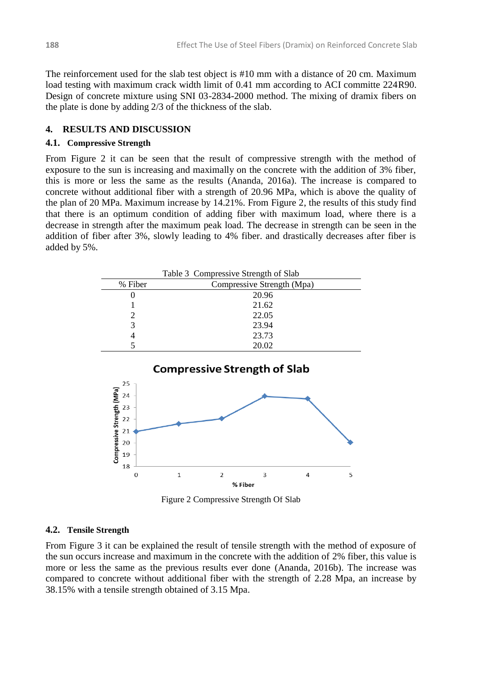The reinforcement used for the slab test object is #10 mm with a distance of 20 cm. Maximum load testing with maximum crack width limit of 0.41 mm according to ACI committe 224R90. Design of concrete mixture using SNI 03-2834-2000 method. The mixing of dramix fibers on the plate is done by adding 2/3 of the thickness of the slab.

### **4. RESULTS AND DISCUSSION**

### **4.1. Compressive Strength**

From Figure 2 it can be seen that the result of compressive strength with the method of exposure to the sun is increasing and maximally on the concrete with the addition of 3% fiber, this is more or less the same as the results (Ananda, 2016a). The increase is compared to concrete without additional fiber with a strength of 20.96 MPa, which is above the quality of the plan of 20 MPa. Maximum increase by 14.21%. From Figure 2, the results of this study find that there is an optimum condition of adding fiber with maximum load, where there is a decrease in strength after the maximum peak load. The decrease in strength can be seen in the addition of fiber after 3%, slowly leading to 4% fiber. and drastically decreases after fiber is added by 5%.





Figure 2 Compressive Strength Of Slab

### **4.2. Tensile Strength**

From Figure 3 it can be explained the result of tensile strength with the method of exposure of the sun occurs increase and maximum in the concrete with the addition of 2% fiber, this value is more or less the same as the previous results ever done (Ananda, 2016b). The increase was compared to concrete without additional fiber with the strength of 2.28 Mpa, an increase by 38.15% with a tensile strength obtained of 3.15 Mpa.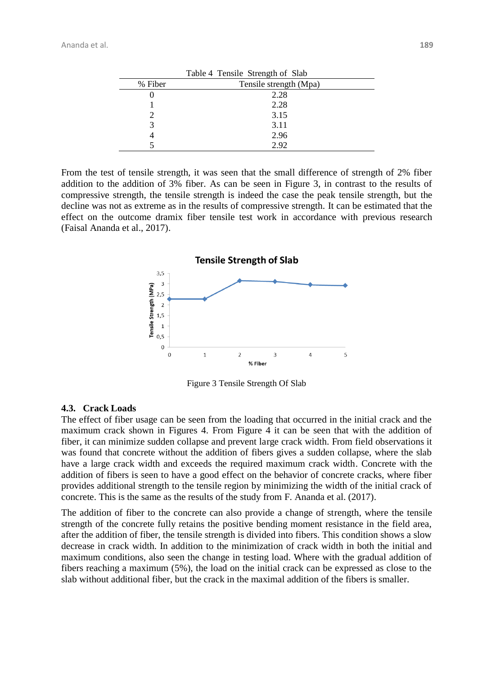| Table 4 Tensile Strength of Slab |                        |  |
|----------------------------------|------------------------|--|
| % Fiber                          | Tensile strength (Mpa) |  |
|                                  | 2.28                   |  |
|                                  | 2.28                   |  |
|                                  | 3.15                   |  |
|                                  | 3.11                   |  |
|                                  | 2.96                   |  |
|                                  | 2.92                   |  |

From the test of tensile strength, it was seen that the small difference of strength of 2% fiber addition to the addition of 3% fiber. As can be seen in Figure 3, in contrast to the results of compressive strength, the tensile strength is indeed the case the peak tensile strength, but the decline was not as extreme as in the results of compressive strength. It can be estimated that the effect on the outcome dramix fiber tensile test work in accordance with previous research (Faisal Ananda et al., 2017).



Figure 3 Tensile Strength Of Slab

#### **4.3. Crack Loads**

The effect of fiber usage can be seen from the loading that occurred in the initial crack and the maximum crack shown in Figures 4. From Figure 4 it can be seen that with the addition of fiber, it can minimize sudden collapse and prevent large crack width. From field observations it was found that concrete without the addition of fibers gives a sudden collapse, where the slab have a large crack width and exceeds the required maximum crack width. Concrete with the addition of fibers is seen to have a good effect on the behavior of concrete cracks, where fiber provides additional strength to the tensile region by minimizing the width of the initial crack of concrete. This is the same as the results of the study from F. Ananda et al. (2017).

The addition of fiber to the concrete can also provide a change of strength, where the tensile strength of the concrete fully retains the positive bending moment resistance in the field area, after the addition of fiber, the tensile strength is divided into fibers. This condition shows a slow decrease in crack width. In addition to the minimization of crack width in both the initial and maximum conditions, also seen the change in testing load. Where with the gradual addition of fibers reaching a maximum (5%), the load on the initial crack can be expressed as close to the slab without additional fiber, but the crack in the maximal addition of the fibers is smaller.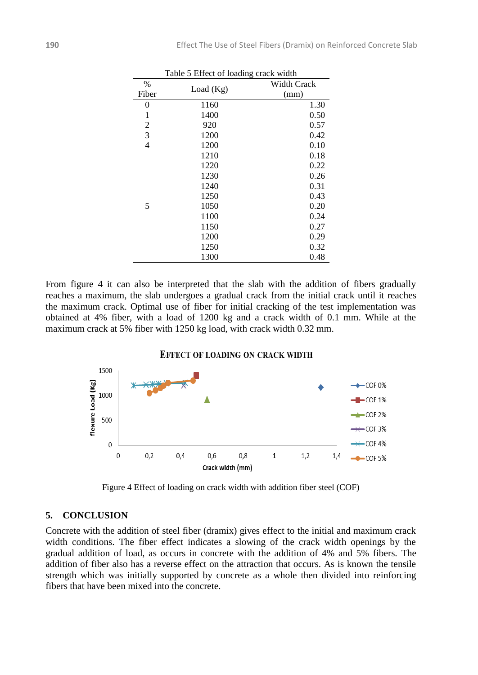| Table 5 Effect of loading crack width |             |                    |  |
|---------------------------------------|-------------|--------------------|--|
| %                                     | Load $(Kg)$ | <b>Width Crack</b> |  |
| Fiber                                 |             | (mm)               |  |
| 0                                     | 1160        | 1.30               |  |
| 1                                     | 1400        | 0.50               |  |
| 2                                     | 920         | 0.57               |  |
| 3                                     | 1200        | 0.42               |  |
| $\overline{4}$                        | 1200        | 0.10               |  |
|                                       | 1210        | 0.18               |  |
|                                       | 1220        | 0.22               |  |
|                                       | 1230        | 0.26               |  |
|                                       | 1240        | 0.31               |  |
|                                       | 1250        | 0.43               |  |
| 5                                     | 1050        | 0.20               |  |
|                                       | 1100        | 0.24               |  |
|                                       | 1150        | 0.27               |  |
|                                       | 1200        | 0.29               |  |
|                                       | 1250        | 0.32               |  |
|                                       | 1300        | 0.48               |  |

From figure 4 it can also be interpreted that the slab with the addition of fibers gradually reaches a maximum, the slab undergoes a gradual crack from the initial crack until it reaches the maximum crack. Optimal use of fiber for initial cracking of the test implementation was obtained at 4% fiber, with a load of 1200 kg and a crack width of 0.1 mm. While at the maximum crack at 5% fiber with 1250 kg load, with crack width 0.32 mm.

#### **EFFECT OF LOADING ON CRACK WIDTH**



Figure 4 Effect of loading on crack width with addition fiber steel (COF)

### **5. CONCLUSION**

Concrete with the addition of steel fiber (dramix) gives effect to the initial and maximum crack width conditions. The fiber effect indicates a slowing of the crack width openings by the gradual addition of load, as occurs in concrete with the addition of 4% and 5% fibers. The addition of fiber also has a reverse effect on the attraction that occurs. As is known the tensile strength which was initially supported by concrete as a whole then divided into reinforcing fibers that have been mixed into the concrete.